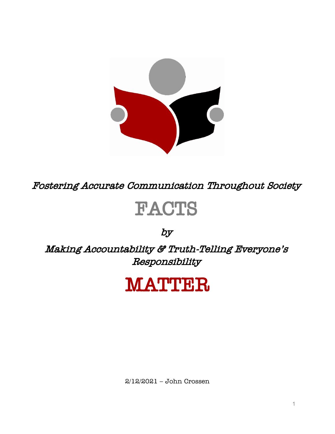

Fostering Accurate Communication Throughout Society

## FACTS

## by

Making Accountability & Truth-Telling Everyone's Responsibility

# MATTER

2/12/2021 – John Crossen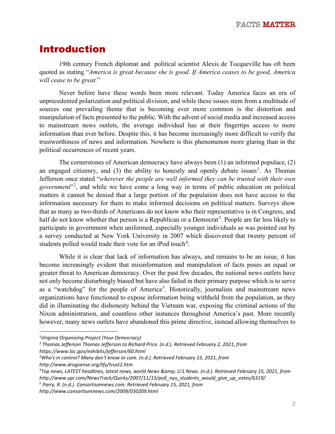### Introduction

19th century French diplomat and political scientist Alexis de Tocqueville has oft been quoted as stating "*America is great because she is good. If America ceases to be good, America will cease to be great.*"

Never before have these words been more relevant. Today America faces an era of unprecedented polarization and political division, and while these issues stem from a multitude of sources one prevailing theme that is becoming ever more common is the distortion and manipulation of facts presented to the public. With the advent of social media and increased access to mainstream news outlets, the average individual has at their fingertips access to more information than ever before. Despite this, it has become increasingly more difficult to verify the trustworthiness of news and information. Nowhere is this phenomenon more glaring than in the political occurrences of recent years.

The cornerstones of American democracy have always been (1) an informed populace, (2) an engaged citizenry, and  $(3)$  the ability to honestly and openly debate issues<sup>[1](#page-1-0)</sup>. As Thomas Jefferson once stated "*wherever the people are well informed they can be trusted with their own government*"[2](#page-1-1) , and while we have come a long way in terms of public education on political matters it cannot be denied that a large portion of the population does not have access to the information necessary for them to make informed decisions on political matters. Surveys show that as many as two-thirds of Americans do not know who their representative is in Congress, and half do not know whether that person is a Republican or a Democrat<sup>[3](#page-1-2)</sup>. People are far less likely to participate in government when uniformed, especially younger individuals as was pointed out by a survey conducted at New York University in 2007 which discovered that twenty percent of students polled would trade their vote for an iPod touch<sup>[4](#page-1-3)</sup>.

While it is clear that lack of information has always, and remains to be an issue, it has become increasingly evident that misinformation and manipulation of facts poses an equal or greater threat to American democracy. Over the past few decades, the national news outlets have not only become disturbingly biased but have also failed in their primary purpose which is to serve as a "watchdog" for the people of America<sup>[5](#page-1-4)</sup>. Historically, journalists and mainstream news organizations have functioned to expose information being withheld from the population, as they did in illuminating the dishonesty behind the Vietnam war, exposing the criminal actions of the Nixon administration, and countless other instances throughout America's past. More recently however, many news outlets have abandoned this prime directive, instead allowing themselves to

<span id="page-1-4"></span><sup>5</sup> *Parry, R. (n.d.). Consortiumnews.com. Retrieved February 15, 2021, from* 

<span id="page-1-0"></span><sup>1</sup> *Virginia Organizing Project (Your Democracy)*

<span id="page-1-1"></span><sup>2</sup> *Thomas Jefferson Thomas Jefferson to Richard Price. (n.d.). Retrieved February 2, 2021, from https://www.loc.gov/exhibits/jefferson/60.html*

<span id="page-1-2"></span><sup>3</sup> *Who's in control? Many don't know or care. (n.d.). Retrieved February 15, 2021, from http://www.drugsense.org/tfy/trust2.htm*

<span id="page-1-3"></span><sup>4</sup> *Top news, LATEST headlines, latest news, world News & U.S News. (n.d.). Retrieved February 15, 2021, from http://www.upi.com/NewsTrack/Quirks/2007/11/15/poll\_nyu\_students\_would\_give\_up\_votes/6319/*

*http://www.consortiumnews.com/2009/030209.html*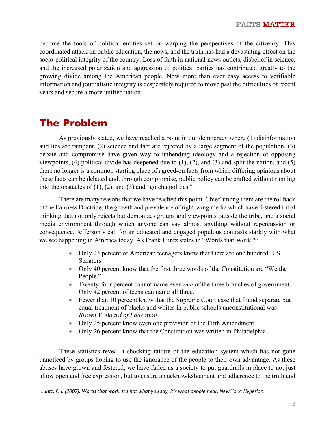become the tools of political entities set on warping the perspectives of the citizenry. This coordinated attack on public education, the news, and the truth has had a devastating effect on the socio-political integrity of the country. Loss of faith in national news outlets, disbelief in science, and the increased polarization and aggression of political parties has contributed greatly to the growing divide among the American people. Now more than ever easy access to verifiable information and journalistic integrity is desperately required to move past the difficulties of recent years and secure a more unified nation.

### The Problem

As previously stated, we have reached a point in our democracy where (1) disinformation and lies are rampant, (2) science and fact are rejected by a large segment of the population, (3) debate and compromise have given way to unbending ideology and a rejection of opposing viewpoints, (4) political divide has deepened due to  $(1)$ ,  $(2)$ , and  $(3)$  and split the nation, and  $(5)$ there no longer is a common starting place of agreed-on facts from which differing opinions about these facts can be debated and, through compromise, public policy can be crafted without running into the obstacles of (1), (2), and (3) and "gotcha politics."

There are many reasons that we have reached this point. Chief among them are the rollback of the Fairness Doctrine, the growth and prevalence of right-wing media which have fostered tribal thinking that not only rejects but demonizes groups and viewpoints outside the tribe, and a social media environment through which anyone can say almost anything without repercussion or consequence. Jefferson's call for an educated and engaged populous contrasts starkly with what we see happening in America today. As Frank Luntz states in "Words that Work"<sup>[6](#page-2-0)</sup>:

- Only 23 percent of American teenagers know that there are one hundred U.S. Senators
- Only 40 percent know that the first three words of the Constitution are "We the People."
- Twenty-four percent cannot name even *one* of the three branches of government. Only 42 percent of teens can name all three.
- Fewer than 10 percent know that the Supreme Court case that found separate but equal treatment of blacks and whites in public schools unconstitutional was *Brown V. Board of Education.*
- Only 25 percent know even one provision of the Fifth Amendment.
- Only 26 percent know that the Constitution was written in Philadelphia.

These statistics reveal a shocking failure of the education system which has not gone unnoticed by groups hoping to use the ignorance of the people to their own advantage. As these abuses have grown and festered, we have failed as a society to put guardrails in place to not just allow open and free expression, but to ensure an acknowledgement and adherence to the truth and

<span id="page-2-0"></span><sup>6</sup> *Luntz, F. I. (2007). Words that work: It's not what you say, it's what people hear. New York: Hyperion.*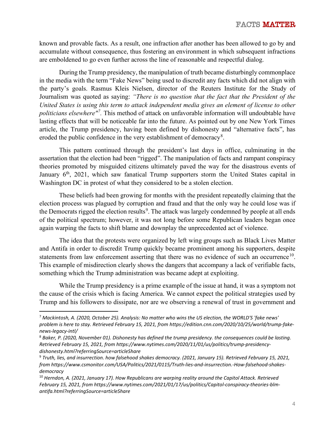known and provable facts. As a result, one infraction after another has been allowed to go by and accumulate without consequence, thus fostering an environment in which subsequent infractions are emboldened to go even further across the line of reasonable and respectful dialog.

During the Trump presidency, the manipulation of truth became disturbingly commonplace in the media with the term "Fake News" being used to discredit any facts which did not align with the party's goals. Rasmus Kleis Nielsen, director of the Reuters Institute for the Study of Journalism was quoted as saying: *"There is no question that the fact that the President of the United States is using this term to attack independent media gives an element of license to other politicians elsewhere"[7](#page-3-0) .* This method of attack on unfavorable information will undoubtable have lasting effects that will be noticeable far into the future. As pointed out by one New York Times article, the Trump presidency, having been defined by dishonesty and "alternative facts", has eroded the public confidence in the very establishment of democracy<sup>[8](#page-3-1)</sup>.

This pattern continued through the president's last days in office, culminating in the assertation that the election had been "rigged". The manipulation of facts and rampant conspiracy theories promoted by misguided citizens ultimately paved the way for the disastrous events of January  $6<sup>th</sup>$ , 2021, which saw fanatical Trump supporters storm the United States capital in Washington DC in protest of what they considered to be a stolen election.

These beliefs had been growing for months with the president repeatedly claiming that the election process was plagued by corruption and fraud and that the only way he could lose was if the Democrats rigged the election results<sup>[9](#page-3-2)</sup>. The attack was largely condemned by people at all ends of the political spectrum; however, it was not long before some Republican leaders began once again warping the facts to shift blame and downplay the unprecedented act of violence.

The idea that the protests were organized by left wing groups such as Black Lives Matter and Antifa in order to discredit Trump quickly became prominent among his supporters, despite statements from law enforcement asserting that there was no evidence of such an occurrence<sup>[10](#page-3-3)</sup>. This example of misdirection clearly shows the dangers that accompany a lack of verifiable facts, something which the Trump administration was became adept at exploiting.

While the Trump presidency is a prime example of the issue at hand, it was a symptom not the cause of the crisis which is facing America. We cannot expect the political strategies used by Trump and his followers to dissipate, nor are we observing a renewal of trust in government and

<span id="page-3-0"></span><sup>7</sup> *Mackintosh, A. (2020, October 25). Analysis: No matter who wins the US election, the WORLD'S 'fake news' problem is here to stay. Retrieved February 15, 2021, from https://edition.cnn.com/2020/10/25/world/trump-fakenews-legacy-intl/*

<span id="page-3-1"></span><sup>8</sup> *Baker, P. (2020, November 01). Dishonesty has defined the trump presidency. the consequences could be lasting. Retrieved February 15, 2021, from https://www.nytimes.com/2020/11/01/us/politics/trump-presidencydishonesty.html?referringSource=articleShare*

<span id="page-3-2"></span><sup>9</sup> *Truth, lies, and insurrection. how falsehood shakes democracy. (2021, January 15). Retrieved February 15, 2021, from https://www.csmonitor.com/USA/Politics/2021/0115/Truth-lies-and-insurrection.-How-falsehood-shakesdemocracy*

<span id="page-3-3"></span><sup>10</sup> *Herndon, A. (2021, January 17). How Republicans are warping reality around the Capitol Attack. Retrieved February 15, 2021, from https://www.nytimes.com/2021/01/17/us/politics/Capitol-conspiracy-theories-blmantifa.html?referringSource=articleShare*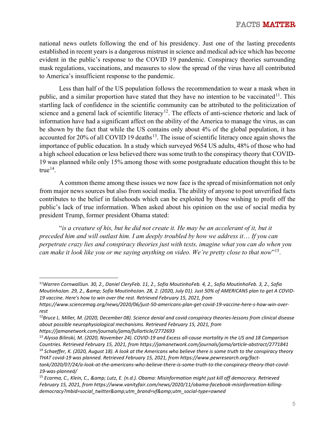national news outlets following the end of his presidency. Just one of the lasting precedents established in recent years is a dangerous mistrust in science and medical advice which has become evident in the public's response to the COVID 19 pandemic. Conspiracy theories surrounding mask regulations, vaccinations, and measures to slow the spread of the virus have all contributed to America's insufficient response to the pandemic.

Less than half of the US population follows the recommendation to wear a mask when in public, and a similar proportion have stated that they have no intention to be vaccinated<sup>11</sup>. This startling lack of confidence in the scientific community can be attributed to the politicization of science and a general lack of scientific literacy<sup>12</sup>. The effects of anti-science rhetoric and lack of information have had a significant affect on the ability of the America to manage the virus, as can be shown by the fact that while the US contains only about 4% of the global population, it has accounted for 20% of all COVID 19 deaths<sup>13</sup>. The issue of scientific literacy once again shows the importance of public education. In a study which surveyed 9654 US adults, 48% of those who had a high school education or less believed there was some truth to the conspiracy theory that COVID-19 was planned while only 15% among those with some postgraduate education thought this to be  $true^{14}$  $true^{14}$  $true^{14}$ .

A common theme among these issues we now face is the spread of misinformation not only from major news sources but also from social media. The ability of anyone to post unverified facts contributes to the belief in falsehoods which can be exploited by those wishing to profit off the public's lack of true information. When asked about his opinion on the use of social media by president Trump, former president Obama stated:

"*is a creature of his, but he did not create it. He may be an accelerant of it, but it preceded him and will outlast him. I am deeply troubled by how we address it*… *If you can perpetrate crazy lies and conspiracy theories just with texts, imagine what you can do when you can make it look like you or me saying anything on video. We're pretty close to that now*"[15.](#page-4-4)

*https://jamanetwork.com/journals/jama/fullarticle/2772693*

<span id="page-4-0"></span><sup>11</sup>*Warren CornwallJun. 30, 2., Daniel CleryFeb. 11, 2., Sofia MoutinhoFeb. 4, 2., Sofia MoutinhoFeb. 3, 2., Sofia*  MoutinhoJan. 29, 2., & amp; Sofia MoutinhoJan. 28, 2. (2020, July 01). Just 50% of AMERICANS plan to get A COVID-*19 vaccine. Here's how to win over the rest. Retrieved February 15, 2021, from* 

*https://www.sciencemag.org/news/2020/06/just-50-americans-plan-get-covid-19-vaccine-here-s-how-win-overrest*

<span id="page-4-1"></span><sup>12</sup>*Bruce L. Miller, M. (2020, December 08). Science denial and covid conspiracy theories-lessons from clinical disease about possible neurophysiological mechanisms. Retrieved February 15, 2021, from* 

<span id="page-4-3"></span><span id="page-4-2"></span><sup>13</sup> *Alyssa Bilinski, M. (2020, November 24). COVID-19 and Excess all-cause mortality in the US and 18 Comparison Countries. Retrieved February 15, 2021, from https://jamanetwork.com/journals/jama/article-abstract/2771841* <sup>14</sup> *Schaeffer, K. (2020, August 18). A look at the Americans who believe there is some truth to the conspiracy theory THAT covid-19 was planned. Retrieved February 15, 2021, from https://www.pewresearch.org/facttank/2020/07/24/a-look-at-the-americans-who-believe-there-is-some-truth-to-the-conspiracy-theory-that-covid-19-was-planned/*

<span id="page-4-4"></span><sup>&</sup>lt;sup>15</sup> *Ecarma, C., Klein, C., & amp; Lutz, E. (n.d.). Obama: Misinformation might just kill off democracy. Retrieved February 15, 2021, from https://www.vanityfair.com/news/2020/11/obama-facebook-misinformation-killingdemocracy?mbid=social\_twitter&utm\_brand=vf&utm\_social-type=owned*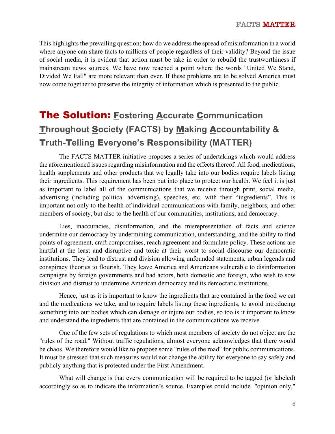This highlights the prevailing question; how do we address the spread of misinformation in a world where anyone can share facts to millions of people regardless of their validity? Beyond the issue of social media, it is evident that action must be take in order to rebuild the trustworthiness if mainstream news sources. We have now reached a point where the words "United We Stand, Divided We Fall" are more relevant than ever. If these problems are to be solved America must now come together to preserve the integrity of information which is presented to the public.

### The Solution: F**ostering** A**ccurate** C**ommunication**  T**hroughout** S**ociety (FACTS) by** M**aking** A**ccountability &**  T**ruth-**T**elling** E**veryone's** R**esponsibility (MATTER)**

The FACTS MATTER initiative proposes a series of undertakings which would address the aforementioned issues regarding misinformation and the effects thereof. All food, medications, health supplements and other products that we legally take into our bodies require labels listing their ingredients. This requirement has been put into place to protect our health. We feel it is just as important to label all of the communications that we receive through print, social media, advertising (including political advertising), speeches, etc. with their "ingredients". This is important not only to the health of individual communications with family, neighbors, and other members of society, but also to the health of our communities, institutions, and democracy.

Lies, inaccuracies, disinformation, and the misrepresentation of facts and science undermine our democracy by undermining communication, understanding, and the ability to find points of agreement, craft compromises, reach agreement and formulate policy. These actions are hurtful at the least and disruptive and toxic at their worst to social discourse our democratic institutions. They lead to distrust and division allowing unfounded statements, urban legends and conspiracy theories to flourish. They leave America and Americans vulnerable to disinformation campaigns by foreign governments and bad actors, both domestic and foreign, who wish to sow division and distrust to undermine American democracy and its democratic institutions.

Hence, just as it is important to know the ingredients that are contained in the food we eat and the medications we take, and to require labels listing these ingredients, to avoid introducing something into our bodies which can damage or injure our bodies, so too is it important to know and understand the ingredients that are contained in the communications we receive.

One of the few sets of regulations to which most members of society do not object are the "rules of the road." Without traffic regulations, almost everyone acknowledges that there would be chaos. We therefore would like to propose some "rules of the road" for public communications. It must be stressed that such measures would not change the ability for everyone to say safely and publicly anything that is protected under the First Amendment.

What will change is that every communication will be required to be tagged (or labeled) accordingly so as to indicate the information's source. Examples could include "opinion only,"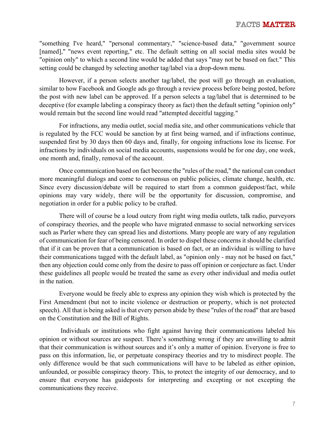"something I've heard," "personal commentary," "science-based data," "government source [named]," "news event reporting," etc. The default setting on all social media sites would be "opinion only" to which a second line would be added that says "may not be based on fact." This setting could be changed by selecting another tag/label via a drop-down menu.

However, if a person selects another tag/label, the post will go through an evaluation, similar to how Facebook and Google ads go through a review process before being posted, before the post with new label can be approved. If a person selects a tag/label that is determined to be deceptive (for example labeling a conspiracy theory as fact) then the default setting "opinion only" would remain but the second line would read "attempted deceitful tagging."

For infractions, any media outlet, social media site, and other communications vehicle that is regulated by the FCC would be sanction by at first being warned, and if infractions continue, suspended first by 30 days then 60 days and, finally, for ongoing infractions lose its license. For infractions by individuals on social media accounts, suspensions would be for one day, one week, one month and, finally, removal of the account.

Once communication based on fact become the "rules of the road," the national can conduct more meaningful dialogs and come to consensus on public policies, climate change, health, etc. Since every discussion/debate will be required to start from a common guidepost/fact, while opinions may vary widely, there will be the opportunity for discussion, compromise, and negotiation in order for a public policy to be crafted.

There will of course be a loud outcry from right wing media outlets, talk radio, purveyors of conspiracy theories, and the people who have migrated enmasse to social networking services such as Parler where they can spread lies and distortions. Many people are wary of any regulation of communication for fear of being censored. In order to dispel these concerns it should be clarified that if it can be proven that a communication is based on fact, or an individual is willing to have their communications tagged with the default label, as "opinion only - may not be based on fact," then any objection could come only from the desire to pass off opinion or conjecture as fact. Under these guidelines all people would be treated the same as every other individual and media outlet in the nation.

Everyone would be freely able to express any opinion they wish which is protected by the First Amendment (but not to incite violence or destruction or property, which is not protected speech). All that is being asked is that every person abide by these "rules of the road" that are based on the Constitution and the Bill of Rights.

Individuals or institutions who fight against having their communications labeled his opinion or without sources are suspect. There's something wrong if they are unwilling to admit that their communication is without sources and it's only a matter of opinion. Everyone is free to pass on this information, lie, or perpetuate conspiracy theories and try to misdirect people. The only difference would be that such communications will have to be labeled as either opinion, unfounded, or possible conspiracy theory. This, to protect the integrity of our democracy, and to ensure that everyone has guideposts for interpreting and excepting or not excepting the communications they receive.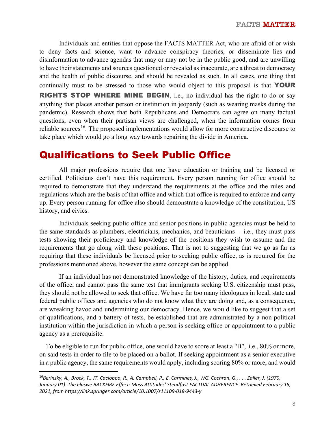Individuals and entities that oppose the FACTS MATTER Act, who are afraid of or wish to deny facts and science, want to advance conspiracy theories, or disseminate lies and disinformation to advance agendas that may or may not be in the public good, and are unwilling to have their statements and sources questioned or revealed as inaccurate, are a threat to democracy and the health of public discourse, and should be revealed as such. In all cases, one thing that continually must to be stressed to those who would object to this proposal is that **YOUR** RIGHTS STOP WHERE MINE BEGIN, i.e., no individual has the right to do or say anything that places another person or institution in jeopardy (such as wearing masks during the pandemic). Research shows that both Republicans and Democrats can agree on many factual questions, even when their partisan views are challenged, when the information comes from reliable sources<sup>16</sup>. The proposed implementations would allow for more constructive discourse to take place which would go a long way towards repairing the divide in America.

#### Qualifications to Seek Public Office

All major professions require that one have education or training and be licensed or certified. Politicians don't have this requirement. Every person running for office should be required to demonstrate that they understand the requirements at the office and the rules and regulations which are the basis of that office and which that office is required to enforce and carry up. Every person running for office also should demonstrate a knowledge of the constitution, US history, and civics.

Individuals seeking public office and senior positions in public agencies must be held to the same standards as plumbers, electricians, mechanics, and beauticians -- i.e., they must pass tests showing their proficiency and knowledge of the positions they wish to assume and the requirements that go along with these positions. That is not to suggesting that we go as far as requiring that these individuals be licensed prior to seeking public office, as is required for the professions mentioned above, however the same concept can be applied.

If an individual has not demonstrated knowledge of the history, duties, and requirements of the office, and cannot pass the same test that immigrants seeking U.S. citizenship must pass, they should not be allowed to seek that office. We have far too many ideologues in local, state and federal public offices and agencies who do not know what they are doing and, as a consequence, are wreaking havoc and undermining our democracy. Hence, we would like to suggest that a set of qualifications, and a battery of tests, be established that are administrated by a non-political institution within the jurisdiction in which a person is seeking office or appointment to a public agency as a prerequisite.

 To be eligible to run for public office, one would have to score at least a "B", i.e., 80% or more, on said tests in order to file to be placed on a ballot. If seeking appointment as a senior executive in a public agency, the same requirements would apply, including scoring 80% or more, and would

<span id="page-7-0"></span><sup>16</sup>*Berinsky, A., Brock, T., JT. Cacioppo, R., A. Campbell, P., E. Carmines, J., WG. Cochran, G., . . . Zaller, J. (1970, January 01). The elusive BACKFIRE Effect: Mass Attitudes' Steadfast FACTUAL ADHERENCE. Retrieved February 15, 2021, from https://link.springer.com/article/10.1007/s11109-018-9443-y*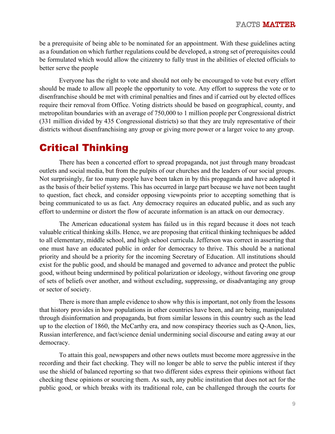be a prerequisite of being able to be nominated for an appointment. With these guidelines acting as a foundation on which further regulations could be developed, a strong set of prerequisites could be formulated which would allow the citizenry to fully trust in the abilities of elected officials to better serve the people

Everyone has the right to vote and should not only be encouraged to vote but every effort should be made to allow all people the opportunity to vote. Any effort to suppress the vote or to disenfranchise should be met with criminal penalties and fines and if carried out by elected offices require their removal from Office. Voting districts should be based on geographical, county, and metropolitan boundaries with an average of 750,000 to 1 million people per Congressional district (331 million divided by 435 Congressional districts) so that they are truly representative of their districts without disenfranchising any group or giving more power or a larger voice to any group.

#### Critical Thinking

There has been a concerted effort to spread propaganda, not just through many broadcast outlets and social media, but from the pulpits of our churches and the leaders of our social groups. Not surprisingly, far too many people have been taken in by this propaganda and have adopted it as the basis of their belief systems. This has occurred in large part because we have not been taught to question, fact check, and consider opposing viewpoints prior to accepting something that is being communicated to us as fact. Any democracy requires an educated public, and as such any effort to undermine or distort the flow of accurate information is an attack on our democracy.

The American educational system has failed us in this regard because it does not teach valuable critical thinking skills. Hence, we are proposing that critical thinking techniques be added to all elementary, middle school, and high school curricula. Jefferson was correct in asserting that one must have an educated public in order for democracy to thrive. This should be a national priority and should be a priority for the incoming Secretary of Education. All institutions should exist for the public good, and should be managed and governed to advance and protect the public good, without being undermined by political polarization or ideology, without favoring one group of sets of beliefs over another, and without excluding, suppressing, or disadvantaging any group or sector of society.

There is more than ample evidence to show why this is important, not only from the lessons that history provides in how populations in other countries have been, and are being, manipulated through disinformation and propaganda, but from similar lessons in this country such as the lead up to the election of 1860, the McCarthy era, and now conspiracy theories such as Q-Anon, lies, Russian interference, and fact/science denial undermining social discourse and eating away at our democracy.

To attain this goal, newspapers and other news outlets must become more aggressive in the recording and their fact checking. They will no longer be able to serve the public interest if they use the shield of balanced reporting so that two different sides express their opinions without fact checking these opinions or sourcing them. As such, any public institution that does not act for the public good, or which breaks with its traditional role, can be challenged through the courts for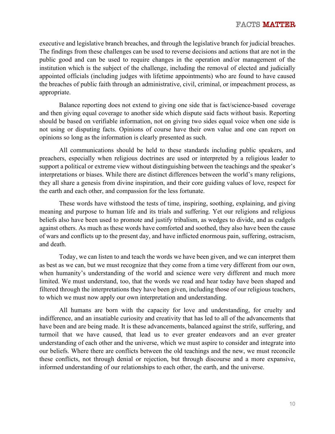executive and legislative branch breaches, and through the legislative branch for judicial breaches. The findings from these challenges can be used to reverse decisions and actions that are not in the public good and can be used to require changes in the operation and/or management of the institution which is the subject of the challenge, including the removal of elected and judicially appointed officials (including judges with lifetime appointments) who are found to have caused the breaches of public faith through an administrative, civil, criminal, or impeachment process, as appropriate.

Balance reporting does not extend to giving one side that is fact/science-based coverage and then giving equal coverage to another side which dispute said facts without basis. Reporting should be based on verifiable information, not on giving two sides equal voice when one side is not using or disputing facts. Opinions of course have their own value and one can report on opinions so long as the information is clearly presented as such.

All communications should be held to these standards including public speakers, and preachers, especially when religious doctrines are used or interpreted by a religious leader to support a political or extreme view without distinguishing between the teachings and the speaker's interpretations or biases. While there are distinct differences between the world's many religions, they all share a genesis from divine inspiration, and their core guiding values of love, respect for the earth and each other, and compassion for the less fortunate.

These words have withstood the tests of time, inspiring, soothing, explaining, and giving meaning and purpose to human life and its trials and suffering. Yet our religions and religious beliefs also have been used to promote and justify tribalism, as wedges to divide, and as cudgels against others. As much as these words have comforted and soothed, they also have been the cause of wars and conflicts up to the present day, and have inflicted enormous pain, suffering, ostracism, and death.

Today, we can listen to and teach the words we have been given, and we can interpret them as best as we can, but we must recognize that they come from a time very different from our own, when humanity's understanding of the world and science were very different and much more limited. We must understand, too, that the words we read and hear today have been shaped and filtered through the interpretations they have been given, including those of our religious teachers, to which we must now apply our own interpretation and understanding.

All humans are born with the capacity for love and understanding, for cruelty and indifference, and an insatiable curiosity and creativity that has led to all of the advancements that have been and are being made. It is these advancements, balanced against the strife, suffering, and turmoil that we have caused, that lead us to ever greater endeavors and an ever greater understanding of each other and the universe, which we must aspire to consider and integrate into our beliefs. Where there are conflicts between the old teachings and the new, we must reconcile these conflicts, not through denial or rejection, but through discourse and a more expansive, informed understanding of our relationships to each other, the earth, and the universe.